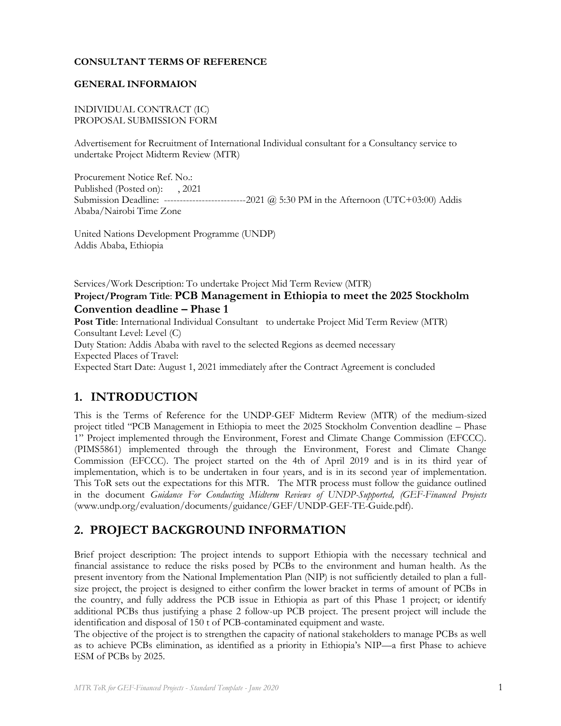### **CONSULTANT TERMS OF REFERENCE**

### **GENERAL INFORMAION**

### INDIVIDUAL CONTRACT (IC) PROPOSAL SUBMISSION FORM

Advertisement for Recruitment of International Individual consultant for a Consultancy service to undertake Project Midterm Review (MTR)

Procurement Notice Ref. No.: Published (Posted on): , 2021 Submission Deadline: --------------------------2021 @ 5:30 PM in the Afternoon (UTC+03:00) Addis Ababa/Nairobi Time Zone

United Nations Development Programme (UNDP) Addis Ababa, Ethiopia

Services/Work Description: To undertake Project Mid Term Review (MTR)

### **Project/Program Title**: **PCB Management in Ethiopia to meet the 2025 Stockholm Convention deadline – Phase 1**

**Post Title**: International Individual Consultant to undertake Project Mid Term Review (MTR) Consultant Level: Level (C) Duty Station: Addis Ababa with ravel to the selected Regions as deemed necessary Expected Places of Travel: Expected Start Date: August 1, 2021 immediately after the Contract Agreement is concluded

# **1. INTRODUCTION**

This is the Terms of Reference for the UNDP-GEF Midterm Review (MTR) of the medium-sized project titled "PCB Management in Ethiopia to meet the 2025 Stockholm Convention deadline – Phase 1" Project implemented through the Environment, Forest and Climate Change Commission (EFCCC). (PIMS5861) implemented through the through the Environment, Forest and Climate Change Commission (EFCCC). The project started on the 4th of April 2019 and is in its third year of implementation, which is to be undertaken in four years, and is in its second year of implementation. This ToR sets out the expectations for this MTR. The MTR process must follow the guidance outlined in the document *Guidance For Conducting Midterm Reviews of UNDP-Supported, (GEF-Financed Projects* (www.undp.org/evaluation/documents/guidance/GEF/UNDP-GEF-TE-Guide.pdf).

# **2. PROJECT BACKGROUND INFORMATION**

Brief project description: The project intends to support Ethiopia with the necessary technical and financial assistance to reduce the risks posed by PCBs to the environment and human health. As the present inventory from the National Implementation Plan (NIP) is not sufficiently detailed to plan a fullsize project, the project is designed to either confirm the lower bracket in terms of amount of PCBs in the country, and fully address the PCB issue in Ethiopia as part of this Phase 1 project; or identify additional PCBs thus justifying a phase 2 follow-up PCB project. The present project will include the identification and disposal of 150 t of PCB-contaminated equipment and waste.

The objective of the project is to strengthen the capacity of national stakeholders to manage PCBs as well as to achieve PCBs elimination, as identified as a priority in Ethiopia's NIP—a first Phase to achieve ESM of PCBs by 2025.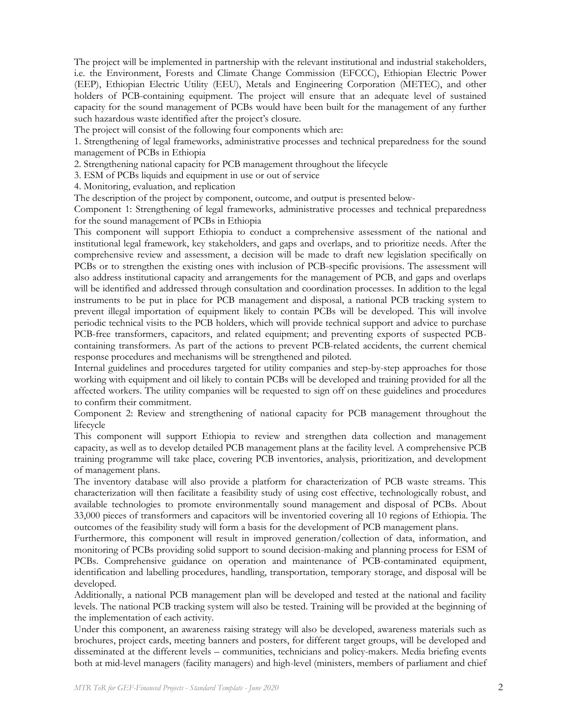The project will be implemented in partnership with the relevant institutional and industrial stakeholders, i.e. the Environment, Forests and Climate Change Commission (EFCCC), Ethiopian Electric Power (EEP), Ethiopian Electric Utility (EEU), Metals and Engineering Corporation (METEC), and other holders of PCB-containing equipment. The project will ensure that an adequate level of sustained capacity for the sound management of PCBs would have been built for the management of any further such hazardous waste identified after the project's closure.

The project will consist of the following four components which are:

1. Strengthening of legal frameworks, administrative processes and technical preparedness for the sound management of PCBs in Ethiopia

2. Strengthening national capacity for PCB management throughout the lifecycle

3. ESM of PCBs liquids and equipment in use or out of service

4. Monitoring, evaluation, and replication

The description of the project by component, outcome, and output is presented below-

Component 1: Strengthening of legal frameworks, administrative processes and technical preparedness for the sound management of PCBs in Ethiopia

This component will support Ethiopia to conduct a comprehensive assessment of the national and institutional legal framework, key stakeholders, and gaps and overlaps, and to prioritize needs. After the comprehensive review and assessment, a decision will be made to draft new legislation specifically on PCBs or to strengthen the existing ones with inclusion of PCB-specific provisions. The assessment will also address institutional capacity and arrangements for the management of PCB, and gaps and overlaps will be identified and addressed through consultation and coordination processes. In addition to the legal instruments to be put in place for PCB management and disposal, a national PCB tracking system to prevent illegal importation of equipment likely to contain PCBs will be developed. This will involve periodic technical visits to the PCB holders, which will provide technical support and advice to purchase PCB-free transformers, capacitors, and related equipment; and preventing exports of suspected PCBcontaining transformers. As part of the actions to prevent PCB-related accidents, the current chemical response procedures and mechanisms will be strengthened and piloted.

Internal guidelines and procedures targeted for utility companies and step-by-step approaches for those working with equipment and oil likely to contain PCBs will be developed and training provided for all the affected workers. The utility companies will be requested to sign off on these guidelines and procedures to confirm their commitment.

Component 2: Review and strengthening of national capacity for PCB management throughout the lifecycle

This component will support Ethiopia to review and strengthen data collection and management capacity, as well as to develop detailed PCB management plans at the facility level. A comprehensive PCB training programme will take place, covering PCB inventories, analysis, prioritization, and development of management plans.

The inventory database will also provide a platform for characterization of PCB waste streams. This characterization will then facilitate a feasibility study of using cost effective, technologically robust, and available technologies to promote environmentally sound management and disposal of PCBs. About 33,000 pieces of transformers and capacitors will be inventoried covering all 10 regions of Ethiopia. The outcomes of the feasibility study will form a basis for the development of PCB management plans.

Furthermore, this component will result in improved generation/collection of data, information, and monitoring of PCBs providing solid support to sound decision-making and planning process for ESM of PCBs. Comprehensive guidance on operation and maintenance of PCB-contaminated equipment, identification and labelling procedures, handling, transportation, temporary storage, and disposal will be developed.

Additionally, a national PCB management plan will be developed and tested at the national and facility levels. The national PCB tracking system will also be tested. Training will be provided at the beginning of the implementation of each activity.

Under this component, an awareness raising strategy will also be developed, awareness materials such as brochures, project cards, meeting banners and posters, for different target groups, will be developed and disseminated at the different levels – communities, technicians and policy-makers. Media briefing events both at mid-level managers (facility managers) and high-level (ministers, members of parliament and chief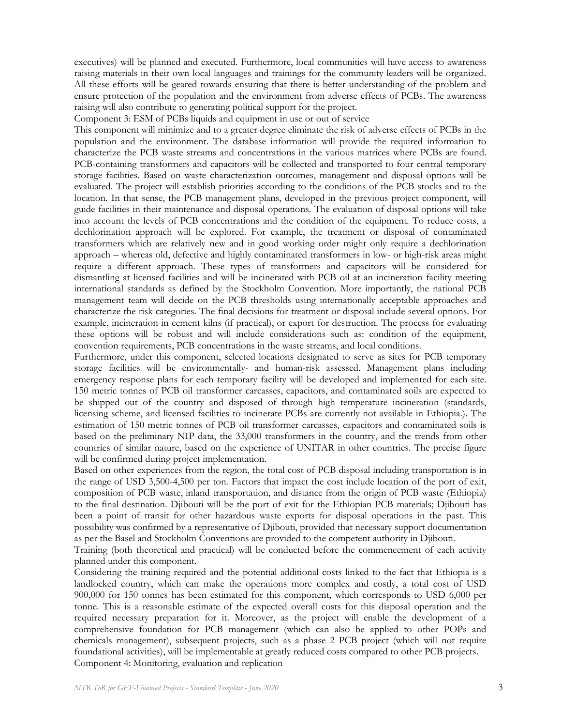executives) will be planned and executed. Furthermore, local communities will have access to awareness raising materials in their own local languages and trainings for the community leaders will be organized. All these efforts will be geared towards ensuring that there is better understanding of the problem and ensure protection of the population and the environment from adverse effects of PCBs. The awareness raising will also contribute to generating political support for the project.

Component 3: ESM of PCBs liquids and equipment in use or out of service

This component will minimize and to a greater degree eliminate the risk of adverse effects of PCBs in the population and the environment. The database information will provide the required information to characterize the PCB waste streams and concentrations in the various matrices where PCBs are found. PCB-containing transformers and capacitors will be collected and transported to four central temporary storage facilities. Based on waste characterization outcomes, management and disposal options will be evaluated. The project will establish priorities according to the conditions of the PCB stocks and to the location. In that sense, the PCB management plans, developed in the previous project component, will guide facilities in their maintenance and disposal operations. The evaluation of disposal options will take into account the levels of PCB concentrations and the condition of the equipment. To reduce costs, a dechlorination approach will be explored. For example, the treatment or disposal of contaminated transformers which are relatively new and in good working order might only require a dechlorination approach – whereas old, defective and highly contaminated transformers in low- or high-risk areas might require a different approach. These types of transformers and capacitors will be considered for dismantling at licensed facilities and will be incinerated with PCB oil at an incineration facility meeting international standards as defined by the Stockholm Convention. More importantly, the national PCB management team will decide on the PCB thresholds using internationally acceptable approaches and characterize the risk categories. The final decisions for treatment or disposal include several options. For example, incineration in cement kilns (if practical), or export for destruction. The process for evaluating these options will be robust and will include considerations such as: condition of the equipment, convention requirements, PCB concentrations in the waste streams, and local conditions.

Furthermore, under this component, selected locations designated to serve as sites for PCB temporary storage facilities will be environmentally- and human-risk assessed. Management plans including emergency response plans for each temporary facility will be developed and implemented for each site. 150 metric tonnes of PCB oil transformer carcasses, capacitors, and contaminated soils are expected to be shipped out of the country and disposed of through high temperature incineration (standards, licensing scheme, and licensed facilities to incinerate PCBs are currently not available in Ethiopia.). The estimation of 150 metric tonnes of PCB oil transformer carcasses, capacitors and contaminated soils is based on the preliminary NIP data, the 33,000 transformers in the country, and the trends from other countries of similar nature, based on the experience of UNITAR in other countries. The precise figure will be confirmed during project implementation.

Based on other experiences from the region, the total cost of PCB disposal including transportation is in the range of USD 3,500-4,500 per ton. Factors that impact the cost include location of the port of exit, composition of PCB waste, inland transportation, and distance from the origin of PCB waste (Ethiopia) to the final destination. Djibouti will be the port of exit for the Ethiopian PCB materials; Djibouti has been a point of transit for other hazardous waste exports for disposal operations in the past. This possibility was confirmed by a representative of Djibouti, provided that necessary support documentation as per the Basel and Stockholm Conventions are provided to the competent authority in Djibouti.

Training (both theoretical and practical) will be conducted before the commencement of each activity planned under this component.

Considering the training required and the potential additional costs linked to the fact that Ethiopia is a landlocked country, which can make the operations more complex and costly, a total cost of USD 900,000 for 150 tonnes has been estimated for this component, which corresponds to USD 6,000 per tonne. This is a reasonable estimate of the expected overall costs for this disposal operation and the required necessary preparation for it. Moreover, as the project will enable the development of a comprehensive foundation for PCB management (which can also be applied to other POPs and chemicals management), subsequent projects, such as a phase 2 PCB project (which will not require foundational activities), will be implementable at greatly reduced costs compared to other PCB projects. Component 4: Monitoring, evaluation and replication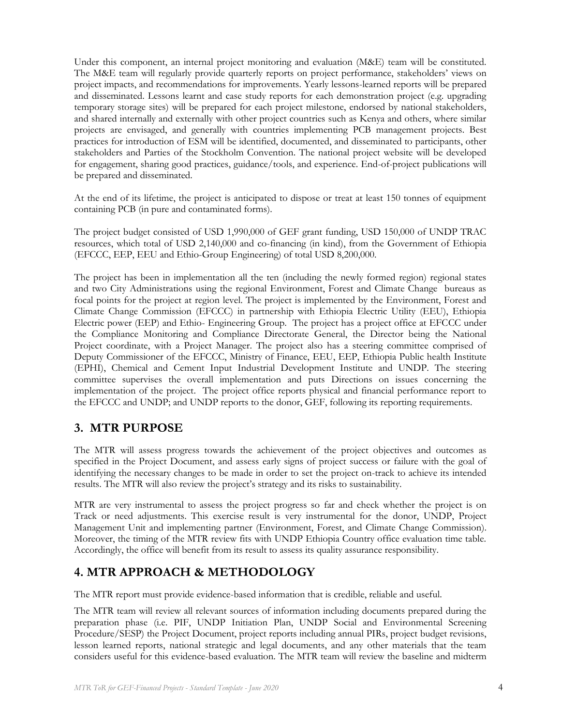Under this component, an internal project monitoring and evaluation (M&E) team will be constituted. The M&E team will regularly provide quarterly reports on project performance, stakeholders' views on project impacts, and recommendations for improvements. Yearly lessons-learned reports will be prepared and disseminated. Lessons learnt and case study reports for each demonstration project (e.g. upgrading temporary storage sites) will be prepared for each project milestone, endorsed by national stakeholders, and shared internally and externally with other project countries such as Kenya and others, where similar projects are envisaged, and generally with countries implementing PCB management projects. Best practices for introduction of ESM will be identified, documented, and disseminated to participants, other stakeholders and Parties of the Stockholm Convention. The national project website will be developed for engagement, sharing good practices, guidance/tools, and experience. End-of-project publications will be prepared and disseminated.

At the end of its lifetime, the project is anticipated to dispose or treat at least 150 tonnes of equipment containing PCB (in pure and contaminated forms).

The project budget consisted of USD 1,990,000 of GEF grant funding, USD 150,000 of UNDP TRAC resources, which total of USD 2,140,000 and co-financing (in kind), from the Government of Ethiopia (EFCCC, EEP, EEU and Ethio-Group Engineering) of total USD 8,200,000.

The project has been in implementation all the ten (including the newly formed region) regional states and two City Administrations using the regional Environment, Forest and Climate Change bureaus as focal points for the project at region level. The project is implemented by the Environment, Forest and Climate Change Commission (EFCCC) in partnership with Ethiopia Electric Utility (EEU), Ethiopia Electric power (EEP) and Ethio- Engineering Group. The project has a project office at EFCCC under the Compliance Monitoring and Compliance Directorate General, the Director being the National Project coordinate, with a Project Manager. The project also has a steering committee comprised of Deputy Commissioner of the EFCCC, Ministry of Finance, EEU, EEP, Ethiopia Public health Institute (EPHI), Chemical and Cement Input Industrial Development Institute and UNDP. The steering committee supervises the overall implementation and puts Directions on issues concerning the implementation of the project. The project office reports physical and financial performance report to the EFCCC and UNDP; and UNDP reports to the donor, GEF, following its reporting requirements.

# **3. MTR PURPOSE**

The MTR will assess progress towards the achievement of the project objectives and outcomes as specified in the Project Document, and assess early signs of project success or failure with the goal of identifying the necessary changes to be made in order to set the project on-track to achieve its intended results. The MTR will also review the project's strategy and its risks to sustainability.

MTR are very instrumental to assess the project progress so far and check whether the project is on Track or need adjustments. This exercise result is very instrumental for the donor, UNDP, Project Management Unit and implementing partner (Environment, Forest, and Climate Change Commission). Moreover, the timing of the MTR review fits with UNDP Ethiopia Country office evaluation time table. Accordingly, the office will benefit from its result to assess its quality assurance responsibility.

# **4. MTR APPROACH & METHODOLOGY**

The MTR report must provide evidence-based information that is credible, reliable and useful.

The MTR team will review all relevant sources of information including documents prepared during the preparation phase (i.e. PIF, UNDP Initiation Plan, UNDP Social and Environmental Screening Procedure/SESP) the Project Document, project reports including annual PIRs, project budget revisions, lesson learned reports, national strategic and legal documents, and any other materials that the team considers useful for this evidence-based evaluation. The MTR team will review the baseline and midterm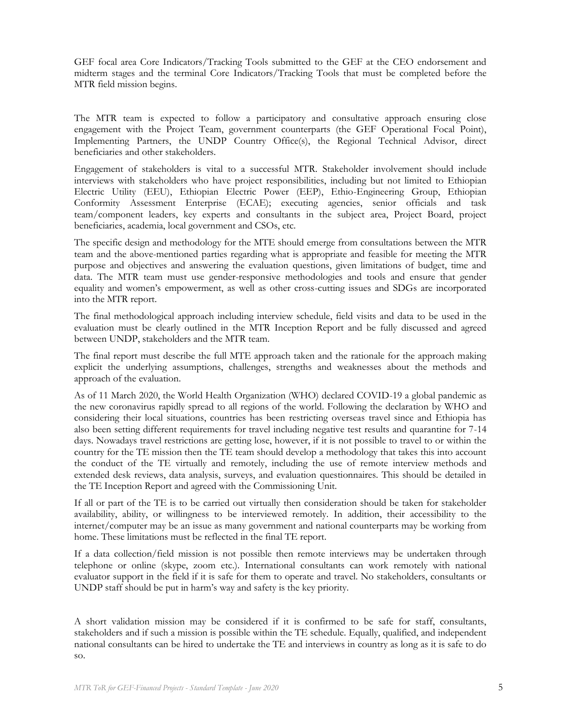GEF focal area Core Indicators/Tracking Tools submitted to the GEF at the CEO endorsement and midterm stages and the terminal Core Indicators/Tracking Tools that must be completed before the MTR field mission begins.

The MTR team is expected to follow a participatory and consultative approach ensuring close engagement with the Project Team, government counterparts (the GEF Operational Focal Point), Implementing Partners, the UNDP Country Office(s), the Regional Technical Advisor, direct beneficiaries and other stakeholders.

Engagement of stakeholders is vital to a successful MTR. Stakeholder involvement should include interviews with stakeholders who have project responsibilities, including but not limited to Ethiopian Electric Utility (EEU), Ethiopian Electric Power (EEP), Ethio-Engineering Group, Ethiopian Conformity Assessment Enterprise (ECAE); executing agencies, senior officials and task team/component leaders, key experts and consultants in the subject area, Project Board, project beneficiaries, academia, local government and CSOs, etc.

The specific design and methodology for the MTE should emerge from consultations between the MTR team and the above-mentioned parties regarding what is appropriate and feasible for meeting the MTR purpose and objectives and answering the evaluation questions, given limitations of budget, time and data. The MTR team must use gender-responsive methodologies and tools and ensure that gender equality and women's empowerment, as well as other cross-cutting issues and SDGs are incorporated into the MTR report.

The final methodological approach including interview schedule, field visits and data to be used in the evaluation must be clearly outlined in the MTR Inception Report and be fully discussed and agreed between UNDP, stakeholders and the MTR team.

The final report must describe the full MTE approach taken and the rationale for the approach making explicit the underlying assumptions, challenges, strengths and weaknesses about the methods and approach of the evaluation.

As of 11 March 2020, the World Health Organization (WHO) declared COVID-19 a global pandemic as the new coronavirus rapidly spread to all regions of the world. Following the declaration by WHO and considering their local situations, countries has been restricting overseas travel since and Ethiopia has also been setting different requirements for travel including negative test results and quarantine for 7-14 days. Nowadays travel restrictions are getting lose, however, if it is not possible to travel to or within the country for the TE mission then the TE team should develop a methodology that takes this into account the conduct of the TE virtually and remotely, including the use of remote interview methods and extended desk reviews, data analysis, surveys, and evaluation questionnaires. This should be detailed in the TE Inception Report and agreed with the Commissioning Unit.

If all or part of the TE is to be carried out virtually then consideration should be taken for stakeholder availability, ability, or willingness to be interviewed remotely. In addition, their accessibility to the internet/computer may be an issue as many government and national counterparts may be working from home. These limitations must be reflected in the final TE report.

If a data collection/field mission is not possible then remote interviews may be undertaken through telephone or online (skype, zoom etc.). International consultants can work remotely with national evaluator support in the field if it is safe for them to operate and travel. No stakeholders, consultants or UNDP staff should be put in harm's way and safety is the key priority.

A short validation mission may be considered if it is confirmed to be safe for staff, consultants, stakeholders and if such a mission is possible within the TE schedule. Equally, qualified, and independent national consultants can be hired to undertake the TE and interviews in country as long as it is safe to do so.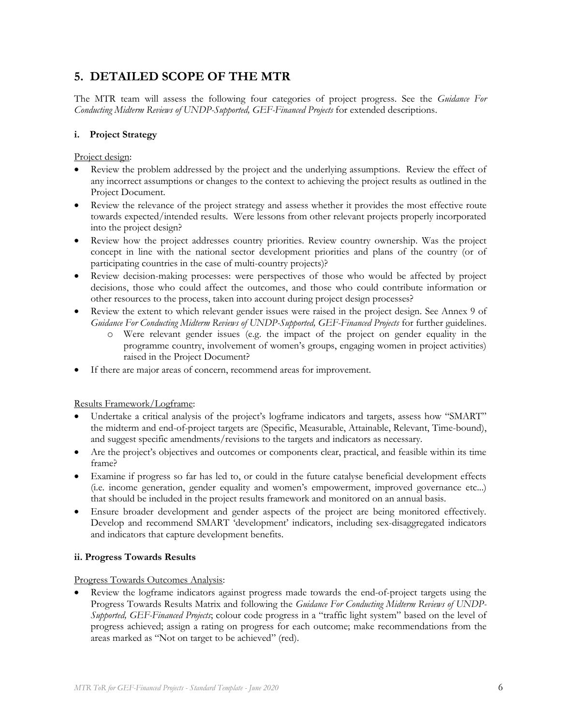# **5. DETAILED SCOPE OF THE MTR**

The MTR team will assess the following four categories of project progress. See the *Guidance For Conducting Midterm Reviews of UNDP-Supported, GEF-Financed Projects* for extended descriptions.

### **i. Project Strategy**

Project design:

- Review the problem addressed by the project and the underlying assumptions. Review the effect of any incorrect assumptions or changes to the context to achieving the project results as outlined in the Project Document.
- Review the relevance of the project strategy and assess whether it provides the most effective route towards expected/intended results. Were lessons from other relevant projects properly incorporated into the project design?
- Review how the project addresses country priorities. Review country ownership. Was the project concept in line with the national sector development priorities and plans of the country (or of participating countries in the case of multi-country projects)?
- Review decision-making processes: were perspectives of those who would be affected by project decisions, those who could affect the outcomes, and those who could contribute information or other resources to the process, taken into account during project design processes?
- Review the extent to which relevant gender issues were raised in the project design. See Annex 9 of *Guidance For Conducting Midterm Reviews of UNDP-Supported, GEF-Financed Projects* for further guidelines.
	- o Were relevant gender issues (e.g. the impact of the project on gender equality in the programme country, involvement of women's groups, engaging women in project activities) raised in the Project Document?
- If there are major areas of concern, recommend areas for improvement.

Results Framework/Logframe:

- Undertake a critical analysis of the project's logframe indicators and targets, assess how "SMART" the midterm and end-of-project targets are (Specific, Measurable, Attainable, Relevant, Time-bound), and suggest specific amendments/revisions to the targets and indicators as necessary.
- Are the project's objectives and outcomes or components clear, practical, and feasible within its time frame?
- Examine if progress so far has led to, or could in the future catalyse beneficial development effects (i.e. income generation, gender equality and women's empowerment, improved governance etc...) that should be included in the project results framework and monitored on an annual basis.
- Ensure broader development and gender aspects of the project are being monitored effectively. Develop and recommend SMART 'development' indicators, including sex-disaggregated indicators and indicators that capture development benefits.

## **ii. Progress Towards Results**

Progress Towards Outcomes Analysis:

Review the logframe indicators against progress made towards the end-of-project targets using the Progress Towards Results Matrix and following the *Guidance For Conducting Midterm Reviews of UNDP-Supported, GEF-Financed Projects*; colour code progress in a "traffic light system" based on the level of progress achieved; assign a rating on progress for each outcome; make recommendations from the areas marked as "Not on target to be achieved" (red).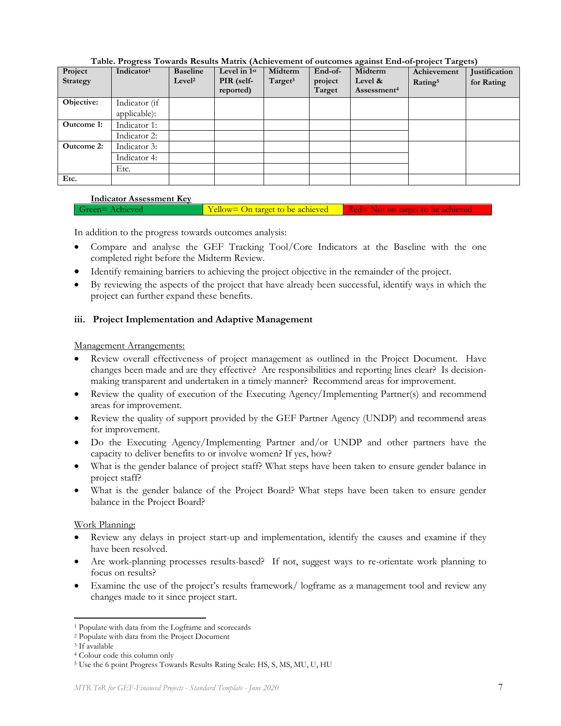| Project<br>Strategy | Indicator <sup>1</sup> | <b>Baseline</b><br>Level <sup>2</sup> | Level in 1st<br>PIR (self-<br>reported) | Midterm<br>Target <sup>3</sup> | End-of-<br>project<br>Target | Midterm<br>Level &<br>Assessment <sup>4</sup> | Achievement<br>Rating <sup>5</sup> | Justification<br>for Rating |
|---------------------|------------------------|---------------------------------------|-----------------------------------------|--------------------------------|------------------------------|-----------------------------------------------|------------------------------------|-----------------------------|
| Objective:          | Indicator (if          |                                       |                                         |                                |                              |                                               |                                    |                             |
|                     | applicable):           |                                       |                                         |                                |                              |                                               |                                    |                             |
| Outcome 1:          | Indicator 1:           |                                       |                                         |                                |                              |                                               |                                    |                             |
|                     | Indicator 2:           |                                       |                                         |                                |                              |                                               |                                    |                             |
| <b>Outcome 2:</b>   | Indicator 3:           |                                       |                                         |                                |                              |                                               |                                    |                             |
|                     | Indicator 4:           |                                       |                                         |                                |                              |                                               |                                    |                             |
|                     | Etc.                   |                                       |                                         |                                |                              |                                               |                                    |                             |
| Etc.                |                        |                                       |                                         |                                |                              |                                               |                                    |                             |

**Table. Progress Towards Results Matrix (Achievement of outcomes against End-of-project Targets)**

### **Indicator Assessment Key**

Green= Achieved Yellow= On target to be achieved Red= Not on target to be achieved

In addition to the progress towards outcomes analysis:

- Compare and analyse the GEF Tracking Tool/Core Indicators at the Baseline with the one completed right before the Midterm Review.
- Identify remaining barriers to achieving the project objective in the remainder of the project.
- By reviewing the aspects of the project that have already been successful, identify ways in which the project can further expand these benefits.

### **iii. Project Implementation and Adaptive Management**

Management Arrangements:

- Review overall effectiveness of project management as outlined in the Project Document. Have changes been made and are they effective? Are responsibilities and reporting lines clear? Is decisionmaking transparent and undertaken in a timely manner? Recommend areas for improvement.
- Review the quality of execution of the Executing Agency/Implementing Partner(s) and recommend areas for improvement.
- Review the quality of support provided by the GEF Partner Agency (UNDP) and recommend areas for improvement.
- Do the Executing Agency/Implementing Partner and/or UNDP and other partners have the capacity to deliver benefits to or involve women? If yes, how?
- What is the gender balance of project staff? What steps have been taken to ensure gender balance in project staff?
- What is the gender balance of the Project Board? What steps have been taken to ensure gender balance in the Project Board?

Work Planning:

- Review any delays in project start-up and implementation, identify the causes and examine if they have been resolved.
- Are work-planning processes results-based? If not, suggest ways to re-orientate work planning to focus on results?
- Examine the use of the project's results framework/logframe as a management tool and review any changes made to it since project start.

<sup>1</sup> Populate with data from the Logframe and scorecards

<sup>2</sup> Populate with data from the Project Document

<sup>3</sup> If available

<sup>4</sup> Colour code this column only

<sup>5</sup> Use the 6 point Progress Towards Results Rating Scale: HS, S, MS, MU, U, HU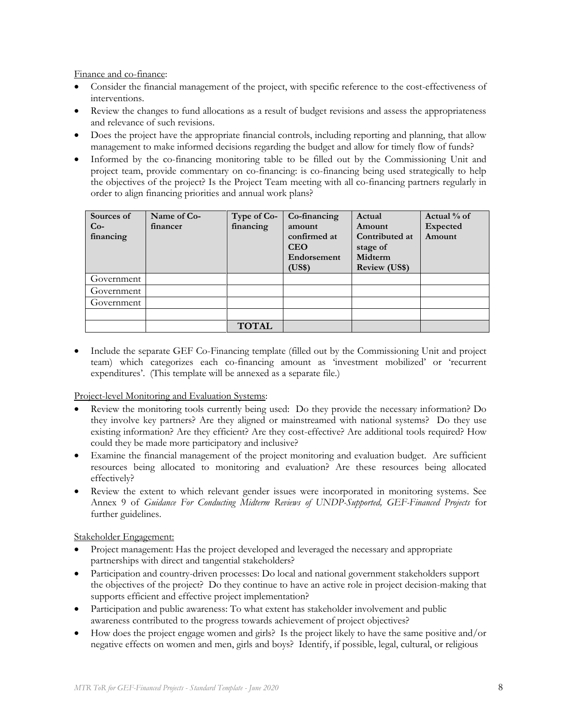Finance and co-finance:

- Consider the financial management of the project, with specific reference to the cost-effectiveness of interventions.
- Review the changes to fund allocations as a result of budget revisions and assess the appropriateness and relevance of such revisions.
- Does the project have the appropriate financial controls, including reporting and planning, that allow management to make informed decisions regarding the budget and allow for timely flow of funds?
- Informed by the co-financing monitoring table to be filled out by the Commissioning Unit and project team, provide commentary on co-financing: is co-financing being used strategically to help the objectives of the project? Is the Project Team meeting with all co-financing partners regularly in order to align financing priorities and annual work plans?

| Sources of<br>$Co-$<br>financing | Name of Co-<br>financer | Type of Co-<br>financing | Co-financing<br>amount<br>confirmed at<br><b>CEO</b><br>Endorsement<br>(US\$) | Actual<br>Amount<br>Contributed at<br>stage of<br>Midterm<br><b>Review (US\$)</b> | Actual % of<br><b>Expected</b><br>Amount |
|----------------------------------|-------------------------|--------------------------|-------------------------------------------------------------------------------|-----------------------------------------------------------------------------------|------------------------------------------|
| Government                       |                         |                          |                                                                               |                                                                                   |                                          |
| Government                       |                         |                          |                                                                               |                                                                                   |                                          |
| Government                       |                         |                          |                                                                               |                                                                                   |                                          |
|                                  |                         |                          |                                                                               |                                                                                   |                                          |
|                                  |                         | <b>TOTAL</b>             |                                                                               |                                                                                   |                                          |

• Include the separate GEF Co-Financing template (filled out by the Commissioning Unit and project team) which categorizes each co-financing amount as 'investment mobilized' or 'recurrent expenditures'. (This template will be annexed as a separate file.)

Project-level Monitoring and Evaluation Systems:

- Review the monitoring tools currently being used: Do they provide the necessary information? Do they involve key partners? Are they aligned or mainstreamed with national systems? Do they use existing information? Are they efficient? Are they cost-effective? Are additional tools required? How could they be made more participatory and inclusive?
- Examine the financial management of the project monitoring and evaluation budget. Are sufficient resources being allocated to monitoring and evaluation? Are these resources being allocated effectively?
- Review the extent to which relevant gender issues were incorporated in monitoring systems. See Annex 9 of *Guidance For Conducting Midterm Reviews of UNDP-Supported, GEF-Financed Projects* for further guidelines.

Stakeholder Engagement:

- Project management: Has the project developed and leveraged the necessary and appropriate partnerships with direct and tangential stakeholders?
- Participation and country-driven processes: Do local and national government stakeholders support the objectives of the project? Do they continue to have an active role in project decision-making that supports efficient and effective project implementation?
- Participation and public awareness: To what extent has stakeholder involvement and public awareness contributed to the progress towards achievement of project objectives?
- How does the project engage women and girls? Is the project likely to have the same positive and/or negative effects on women and men, girls and boys? Identify, if possible, legal, cultural, or religious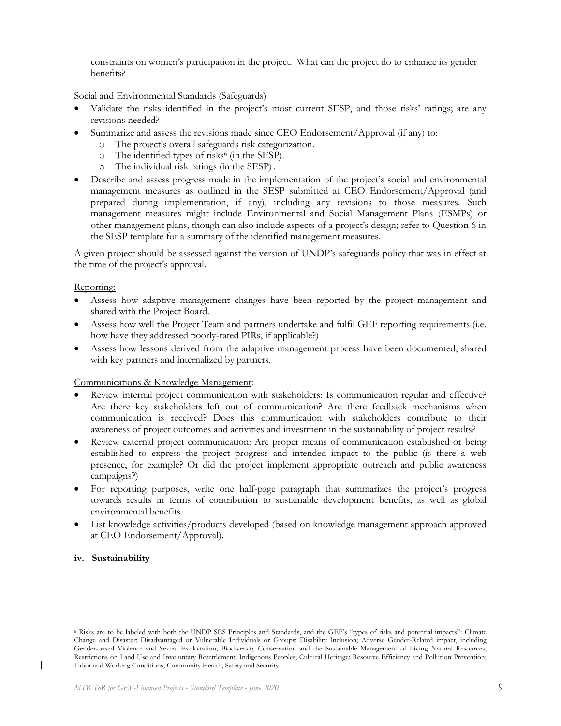constraints on women's participation in the project. What can the project do to enhance its gender benefits?

Social and Environmental Standards (Safeguards)

- Validate the risks identified in the project's most current SESP, and those risks' ratings; are any revisions needed?
- Summarize and assess the revisions made since CEO Endorsement/Approval (if any) to:
	- o The project's overall safeguards risk categorization.
	- o The identified types of risks<sup>6</sup> (in the SESP).
	- o The individual risk ratings (in the SESP) .
- Describe and assess progress made in the implementation of the project's social and environmental management measures as outlined in the SESP submitted at CEO Endorsement/Approval (and prepared during implementation, if any), including any revisions to those measures. Such management measures might include Environmental and Social Management Plans (ESMPs) or other management plans, though can also include aspects of a project's design; refer to Question 6 in the SESP template for a summary of the identified management measures.

A given project should be assessed against the version of UNDP's safeguards policy that was in effect at the time of the project's approval.

#### Reporting:

- Assess how adaptive management changes have been reported by the project management and shared with the Project Board.
- Assess how well the Project Team and partners undertake and fulfil GEF reporting requirements (i.e. how have they addressed poorly-rated PIRs, if applicable?)
- Assess how lessons derived from the adaptive management process have been documented, shared with key partners and internalized by partners.

#### Communications & Knowledge Management:

- Review internal project communication with stakeholders: Is communication regular and effective? Are there key stakeholders left out of communication? Are there feedback mechanisms when communication is received? Does this communication with stakeholders contribute to their awareness of project outcomes and activities and investment in the sustainability of project results?
- Review external project communication: Are proper means of communication established or being established to express the project progress and intended impact to the public (is there a web presence, for example? Or did the project implement appropriate outreach and public awareness campaigns?)
- For reporting purposes, write one half-page paragraph that summarizes the project's progress towards results in terms of contribution to sustainable development benefits, as well as global environmental benefits.
- List knowledge activities/products developed (based on knowledge management approach approved at CEO Endorsement/Approval).

#### **iv. Sustainability**

 $\mathsf{l}$ 

<sup>6</sup> Risks are to be labeled with both the UNDP SES Principles and Standards, and the GEF's "types of risks and potential impacts": Climate Change and Disaster; Disadvantaged or Vulnerable Individuals or Groups; Disability Inclusion; Adverse Gender-Related impact, including Gender-based Violence and Sexual Exploitation; Biodiversity Conservation and the Sustainable Management of Living Natural Resources; Restrictions on Land Use and Involuntary Resettlement; Indigenous Peoples; Cultural Heritage; Resource Efficiency and Pollution Prevention; Labor and Working Conditions; Community Health, Safety and Security.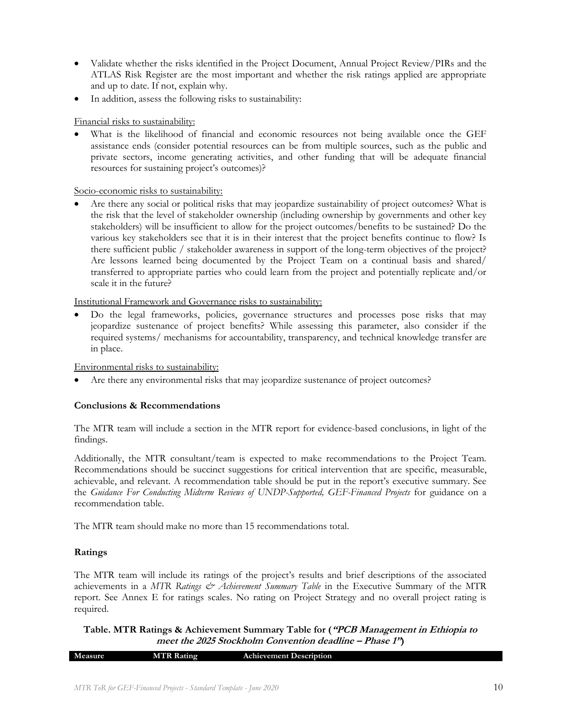- Validate whether the risks identified in the Project Document, Annual Project Review/PIRs and the ATLAS Risk Register are the most important and whether the risk ratings applied are appropriate and up to date. If not, explain why.
- In addition, assess the following risks to sustainability:

### Financial risks to sustainability:

What is the likelihood of financial and economic resources not being available once the GEF assistance ends (consider potential resources can be from multiple sources, such as the public and private sectors, income generating activities, and other funding that will be adequate financial resources for sustaining project's outcomes)?

Socio-economic risks to sustainability:

• Are there any social or political risks that may jeopardize sustainability of project outcomes? What is the risk that the level of stakeholder ownership (including ownership by governments and other key stakeholders) will be insufficient to allow for the project outcomes/benefits to be sustained? Do the various key stakeholders see that it is in their interest that the project benefits continue to flow? Is there sufficient public / stakeholder awareness in support of the long-term objectives of the project? Are lessons learned being documented by the Project Team on a continual basis and shared/ transferred to appropriate parties who could learn from the project and potentially replicate and/or scale it in the future?

Institutional Framework and Governance risks to sustainability:

• Do the legal frameworks, policies, governance structures and processes pose risks that may jeopardize sustenance of project benefits? While assessing this parameter, also consider if the required systems/ mechanisms for accountability, transparency, and technical knowledge transfer are in place.

Environmental risks to sustainability:

Are there any environmental risks that may jeopardize sustenance of project outcomes?

## **Conclusions & Recommendations**

The MTR team will include a section in the MTR report for evidence-based conclusions, in light of the findings.

Additionally, the MTR consultant/team is expected to make recommendations to the Project Team. Recommendations should be succinct suggestions for critical intervention that are specific, measurable, achievable, and relevant. A recommendation table should be put in the report's executive summary. See the *Guidance For Conducting Midterm Reviews of UNDP-Supported, GEF-Financed Projects* for guidance on a recommendation table.

The MTR team should make no more than 15 recommendations total.

## **Ratings**

The MTR team will include its ratings of the project's results and brief descriptions of the associated achievements in a *MTR Ratings & Achievement Summary Table* in the Executive Summary of the MTR report. See Annex E for ratings scales. No rating on Project Strategy and no overall project rating is required.

**Table. MTR Ratings & Achievement Summary Table for ("PCB Management in Ethiopia to meet the 2025 Stockholm Convention deadline – Phase 1")**

| Measure | <b>MTR Rating</b> | <b>Achievement Description</b> |
|---------|-------------------|--------------------------------|
|         |                   |                                |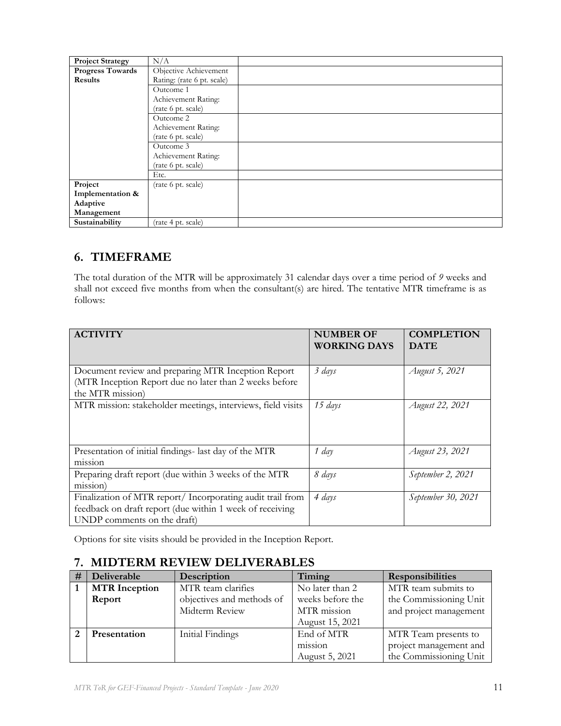| <b>Project Strategy</b> | N/A                        |
|-------------------------|----------------------------|
| <b>Progress Towards</b> | Objective Achievement      |
| Results                 | Rating: (rate 6 pt. scale) |
|                         | Outcome 1                  |
|                         | Achievement Rating:        |
|                         | (rate 6 pt. scale)         |
|                         | Outcome 2                  |
|                         | Achievement Rating:        |
|                         | (rate 6 pt. scale)         |
|                         | Outcome 3                  |
|                         | Achievement Rating:        |
|                         | (rate 6 pt. scale)         |
|                         | Etc.                       |
| Project                 | (rate 6 pt. scale)         |
| Implementation &        |                            |
| Adaptive                |                            |
| Management              |                            |
| Sustainability          | (rate 4 pt. scale)         |

# **6. TIMEFRAME**

The total duration of the MTR will be approximately 31 calendar days over a time period of *9* weeks and shall not exceed five months from when the consultant(s) are hired. The tentative MTR timeframe is as follows:

| <b>ACTIVITY</b>                                             |                     | <b>COMPLETION</b>  |
|-------------------------------------------------------------|---------------------|--------------------|
|                                                             | <b>NUMBER OF</b>    |                    |
|                                                             | <b>WORKING DAYS</b> | <b>DATE</b>        |
|                                                             |                     |                    |
| Document review and preparing MTR Inception Report          | 3 days              | August 5, 2021     |
| (MTR Inception Report due no later than 2 weeks before      |                     |                    |
| the MTR mission)                                            |                     |                    |
| MTR mission: stakeholder meetings, interviews, field visits | 15 days             | August 22, 2021    |
|                                                             |                     |                    |
|                                                             |                     |                    |
|                                                             |                     |                    |
| Presentation of initial findings- last day of the MTR       | 1 day               | August 23, 2021    |
| m <sub>1</sub> ss <sub>1</sub>                              |                     |                    |
| Preparing draft report (due within 3 weeks of the MTR       | 8 days              | September 2, 2021  |
| mission)                                                    |                     |                    |
| Finalization of MTR report/ Incorporating audit trail from  | 4 days              | September 30, 2021 |
| feedback on draft report (due within 1 week of receiving    |                     |                    |
| UNDP comments on the draft)                                 |                     |                    |

Options for site visits should be provided in the Inception Report.

# **7. MIDTERM REVIEW DELIVERABLES**

| # | Deliverable                                | Description               | Timing                         | <b>Responsibilities</b> |
|---|--------------------------------------------|---------------------------|--------------------------------|-------------------------|
|   | <b>MTR</b> Inception<br>MTR team clarifies |                           | No later than 2                | MTR team submits to     |
|   | Report                                     | objectives and methods of | weeks before the               | the Commissioning Unit  |
|   |                                            | Midterm Review            | MTR mission                    | and project management  |
|   |                                            |                           | August 15, 2021                |                         |
|   | <b>Presentation</b>                        | Initial Findings          | End of MTR                     | MTR Team presents to    |
|   |                                            |                           | m <sub>1</sub> ss <sub>1</sub> | project management and  |
|   |                                            |                           | August 5, 2021                 | the Commissioning Unit  |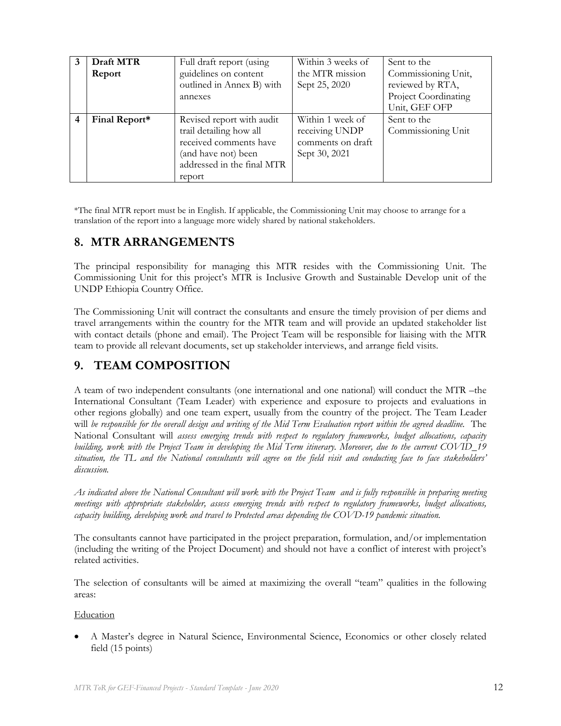|   | Draft MTR<br>Report | Full draft report (using<br>guidelines on content<br>outlined in Annex B) with<br>annexes                                                     | Within 3 weeks of<br>the MTR mission<br>Sept 25, 2020                    | Sent to the<br>Commissioning Unit,<br>reviewed by RTA,<br>Project Coordinating<br>Unit, GEF OFP |
|---|---------------------|-----------------------------------------------------------------------------------------------------------------------------------------------|--------------------------------------------------------------------------|-------------------------------------------------------------------------------------------------|
| 4 | Final Report*       | Revised report with audit<br>trail detailing how all<br>received comments have<br>(and have not) been<br>addressed in the final MTR<br>report | Within 1 week of<br>receiving UNDP<br>comments on draft<br>Sept 30, 2021 | Sent to the<br>Commissioning Unit                                                               |

\*The final MTR report must be in English. If applicable, the Commissioning Unit may choose to arrange for a translation of the report into a language more widely shared by national stakeholders.

# **8. MTR ARRANGEMENTS**

The principal responsibility for managing this MTR resides with the Commissioning Unit. The Commissioning Unit for this project's MTR is Inclusive Growth and Sustainable Develop unit of the UNDP Ethiopia Country Office.

The Commissioning Unit will contract the consultants and ensure the timely provision of per diems and travel arrangements within the country for the MTR team and will provide an updated stakeholder list with contact details (phone and email). The Project Team will be responsible for liaising with the MTR team to provide all relevant documents, set up stakeholder interviews, and arrange field visits.

# **9. TEAM COMPOSITION**

A team of two independent consultants (one international and one national) will conduct the MTR –the International Consultant (Team Leader) with experience and exposure to projects and evaluations in other regions globally) and one team expert, usually from the country of the project. The Team Leader will *be responsible for the overall design and writing of the Mid Term Evaluation report within the agreed deadline.* The National Consultant will *assess emerging trends with respect to regulatory frameworks, budget allocations, capacity building, work with the Project Team in developing the Mid Term itinerary. Moreover, due to the current COVID\_19 situation, the TL and the National consultants will agree on the field visit and conducting face to face stakeholders' discussion.*

*As indicated above the National Consultant will work with the Project Team and is fully responsible in preparing meeting meetings with appropriate stakeholder, assess emerging trends with respect to regulatory frameworks, budget allocations, capacity building, developing work and travel to Protected areas depending the COVD-19 pandemic situation.*

The consultants cannot have participated in the project preparation, formulation, and/or implementation (including the writing of the Project Document) and should not have a conflict of interest with project's related activities.

The selection of consultants will be aimed at maximizing the overall "team" qualities in the following areas:

**Education** 

• A Master's degree in Natural Science, Environmental Science, Economics or other closely related field (15 points)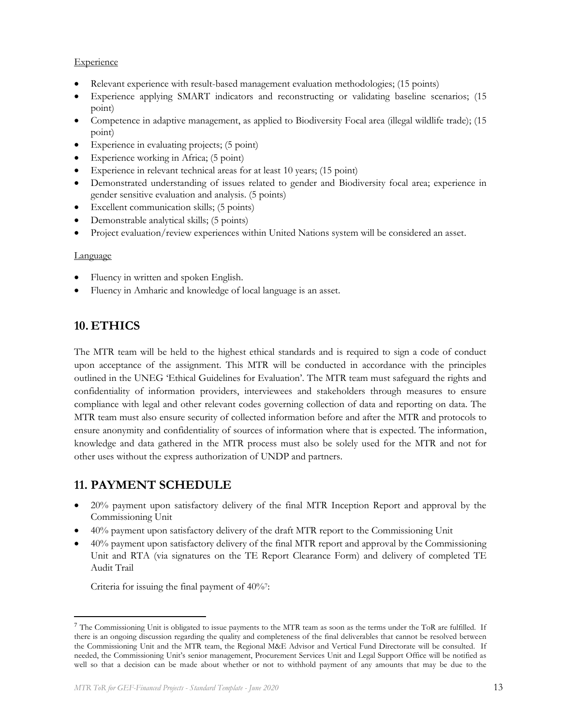### **Experience**

- Relevant experience with result-based management evaluation methodologies; (15 points)
- Experience applying SMART indicators and reconstructing or validating baseline scenarios; (15 point)
- Competence in adaptive management, as applied to Biodiversity Focal area (illegal wildlife trade); (15 point)
- Experience in evaluating projects; (5 point)
- Experience working in Africa; (5 point)
- Experience in relevant technical areas for at least 10 years; (15 point)
- Demonstrated understanding of issues related to gender and Biodiversity focal area; experience in gender sensitive evaluation and analysis. (5 points)
- Excellent communication skills; (5 points)
- Demonstrable analytical skills; (5 points)
- Project evaluation/review experiences within United Nations system will be considered an asset.

### Language

- Fluency in written and spoken English.
- Fluency in Amharic and knowledge of local language is an asset.

# **10. ETHICS**

The MTR team will be held to the highest ethical standards and is required to sign a code of conduct upon acceptance of the assignment. This MTR will be conducted in accordance with the principles outlined in the UNEG 'Ethical Guidelines for Evaluation'. The MTR team must safeguard the rights and confidentiality of information providers, interviewees and stakeholders through measures to ensure compliance with legal and other relevant codes governing collection of data and reporting on data. The MTR team must also ensure security of collected information before and after the MTR and protocols to ensure anonymity and confidentiality of sources of information where that is expected. The information, knowledge and data gathered in the MTR process must also be solely used for the MTR and not for other uses without the express authorization of UNDP and partners.

# **11. PAYMENT SCHEDULE**

- 20% payment upon satisfactory delivery of the final MTR Inception Report and approval by the Commissioning Unit
- 40% payment upon satisfactory delivery of the draft MTR report to the Commissioning Unit
- 40% payment upon satisfactory delivery of the final MTR report and approval by the Commissioning Unit and RTA (via signatures on the TE Report Clearance Form) and delivery of completed TE Audit Trail

Criteria for issuing the final payment of 40%?:

 $^7$  The Commissioning Unit is obligated to issue payments to the MTR team as soon as the terms under the ToR are fulfilled. If there is an ongoing discussion regarding the quality and completeness of the final deliverables that cannot be resolved between the Commissioning Unit and the MTR team, the Regional M&E Advisor and Vertical Fund Directorate will be consulted. If needed, the Commissioning Unit's senior management, Procurement Services Unit and Legal Support Office will be notified as well so that a decision can be made about whether or not to withhold payment of any amounts that may be due to the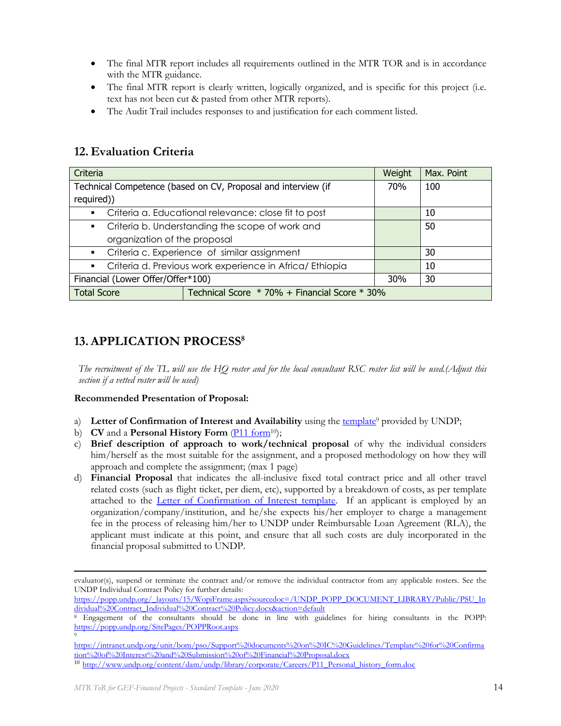- The final MTR report includes all requirements outlined in the MTR TOR and is in accordance with the MTR guidance.
- The final MTR report is clearly written, logically organized, and is specific for this project (i.e. text has not been cut & pasted from other MTR reports).
- The Audit Trail includes responses to and justification for each comment listed.

## **12. Evaluation Criteria**

| Criteria                                                                   | Weight                                                        | Max. Point |     |
|----------------------------------------------------------------------------|---------------------------------------------------------------|------------|-----|
|                                                                            | Technical Competence (based on CV, Proposal and interview (if | 70%        | 100 |
| required))                                                                 |                                                               |            |     |
| $\blacksquare$                                                             | Criteria a. Educational relevance: close fit to post          |            | 10  |
| Criteria b. Understanding the scope of work and<br>$\blacksquare$          |                                                               |            | 50  |
| organization of the proposal                                               |                                                               |            |     |
| Criteria c. Experience of similar assignment<br>$\mathbf{m}$               |                                                               |            | 30  |
| Criteria d. Previous work experience in Africa/ Ethiopia<br>$\blacksquare$ |                                                               |            | 10  |
| Financial (Lower Offer/Offer*100)                                          |                                                               |            | 30  |
| <b>Total Score</b>                                                         | Technical Score * 70% + Financial Score * 30%                 |            |     |

# **13.APPLICATION PROCESS<sup>8</sup>**

*The recruitment of the TL will use the HQ roster and for the local consultant RSC roster list will be used.(Adjust this section if a vetted roster will be used)*

### **Recommended Presentation of Proposal:**

- a) Letter of Confirmation of Interest and Availability using the [template](https://intranet.undp.org/unit/bom/pso/Support%20documents%20on%20IC%20Guidelines/Template%20for%20Confirmation%20of%20Interest%20and%20Submission%20of%20Financial%20Proposal.docx)<sup>9</sup> provided by UNDP;
- b) **CV** and a **Personal History Form** [\(P11 form](http://www.undp.org/content/dam/undp/library/corporate/Careers/P11_Personal_history_form.doc)<sup>10</sup>);
- c) **Brief description of approach to work/technical proposal** of why the individual considers him/herself as the most suitable for the assignment, and a proposed methodology on how they will approach and complete the assignment; (max 1 page)
- d) **Financial Proposal** that indicates the all-inclusive fixed total contract price and all other travel related costs (such as flight ticket, per diem, etc), supported by a breakdown of costs, as per template attached to the [Letter of Confirmation of Interest template.](https://popp.undp.org/_layouts/15/WopiFrame.aspx?sourcedoc=/UNDP_POPP_DOCUMENT_LIBRARY/Public/PSU_%20Individual%20Contract_Offerors%20Letter%20to%20UNDP%20Confirming%20Interest%20and%20Availability.docx&action=default) If an applicant is employed by an organization/company/institution, and he/she expects his/her employer to charge a management fee in the process of releasing him/her to UNDP under Reimbursable Loan Agreement (RLA), the applicant must indicate at this point, and ensure that all such costs are duly incorporated in the financial proposal submitted to UNDP.

evaluator(s), suspend or terminate the contract and/or remove the individual contractor from any applicable rosters. See the UNDP Individual Contract Policy for further details:

[https://popp.undp.org/\\_layouts/15/WopiFrame.aspx?sourcedoc=/UNDP\\_POPP\\_DOCUMENT\\_LIBRARY/Public/PSU\\_In](https://popp.undp.org/_layouts/15/WopiFrame.aspx?sourcedoc=/UNDP_POPP_DOCUMENT_LIBRARY/Public/PSU_Individual%20Contract_Individual%20Contract%20Policy.docx&action=default) [dividual%20Contract\\_Individual%20Contract%20Policy.docx&action=default](https://popp.undp.org/_layouts/15/WopiFrame.aspx?sourcedoc=/UNDP_POPP_DOCUMENT_LIBRARY/Public/PSU_Individual%20Contract_Individual%20Contract%20Policy.docx&action=default)

<sup>8</sup> Engagement of the consultants should be done in line with guidelines for hiring consultants in the POPP: <https://popp.undp.org/SitePages/POPPRoot.aspx> 9

[https://intranet.undp.org/unit/bom/pso/Support%20documents%20on%20IC%20Guidelines/Template%20for%20Confirma](https://intranet.undp.org/unit/bom/pso/Support%20documents%20on%20IC%20Guidelines/Template%20for%20Confirmation%20of%20Interest%20and%20Submission%20of%20Financial%20Proposal.docx) [tion%20of%20Interest%20and%20Submission%20of%20Financial%20Proposal.docx](https://intranet.undp.org/unit/bom/pso/Support%20documents%20on%20IC%20Guidelines/Template%20for%20Confirmation%20of%20Interest%20and%20Submission%20of%20Financial%20Proposal.docx)

<sup>10</sup> [http://www.undp.org/content/dam/undp/library/corporate/Careers/P11\\_Personal\\_history\\_form.doc](http://www.undp.org/content/dam/undp/library/corporate/Careers/P11_Personal_history_form.doc)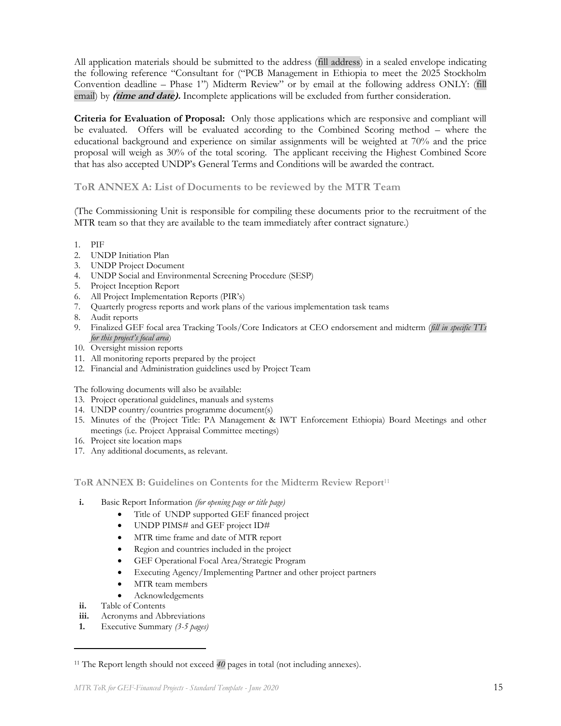All application materials should be submitted to the address (fill address) in a sealed envelope indicating the following reference "Consultant for ("PCB Management in Ethiopia to meet the 2025 Stockholm Convention deadline – Phase 1") Midterm Review" or by email at the following address ONLY: (fill email) by **(time and date).** Incomplete applications will be excluded from further consideration.

**Criteria for Evaluation of Proposal:** Only those applications which are responsive and compliant will be evaluated. Offers will be evaluated according to the Combined Scoring method – where the educational background and experience on similar assignments will be weighted at 70% and the price proposal will weigh as 30% of the total scoring. The applicant receiving the Highest Combined Score that has also accepted UNDP's General Terms and Conditions will be awarded the contract.

**ToR ANNEX A: List of Documents to be reviewed by the MTR Team** 

(The Commissioning Unit is responsible for compiling these documents prior to the recruitment of the MTR team so that they are available to the team immediately after contract signature.)

- 1. PIF
- 2. UNDP Initiation Plan
- 3. UNDP Project Document
- 4. UNDP Social and Environmental Screening Procedure (SESP)
- 5. Project Inception Report
- 6. All Project Implementation Reports (PIR's)
- 7. Quarterly progress reports and work plans of the various implementation task teams
- 8. Audit reports
- 9. Finalized GEF focal area Tracking Tools/Core Indicators at CEO endorsement and midterm (*fill in specific TTs for this project's focal area*)
- 10. Oversight mission reports
- 11. All monitoring reports prepared by the project
- 12. Financial and Administration guidelines used by Project Team

The following documents will also be available:

- 13. Project operational guidelines, manuals and systems
- 14. UNDP country/countries programme document(s)
- 15. Minutes of the (Project Title: PA Management & IWT Enforcement Ethiopia) Board Meetings and other meetings (i.e. Project Appraisal Committee meetings)
- 16. Project site location maps
- 17. Any additional documents, as relevant.

**ToR ANNEX B: Guidelines on Contents for the Midterm Review Report**<sup>11</sup>

- **i.** Basic Report Information *(for opening page or title page)*
	- Title of UNDP supported GEF financed project
	- UNDP PIMS# and GEF project ID#
	- MTR time frame and date of MTR report
	- Region and countries included in the project
	- GEF Operational Focal Area/Strategic Program
	- Executing Agency/Implementing Partner and other project partners
	- MTR team members
	- Acknowledgements
- **ii.** Table of Contents
- **iii.** Acronyms and Abbreviations
- **1.** Executive Summary *(3-5 pages)*

<sup>11</sup> The Report length should not exceed *40* pages in total (not including annexes).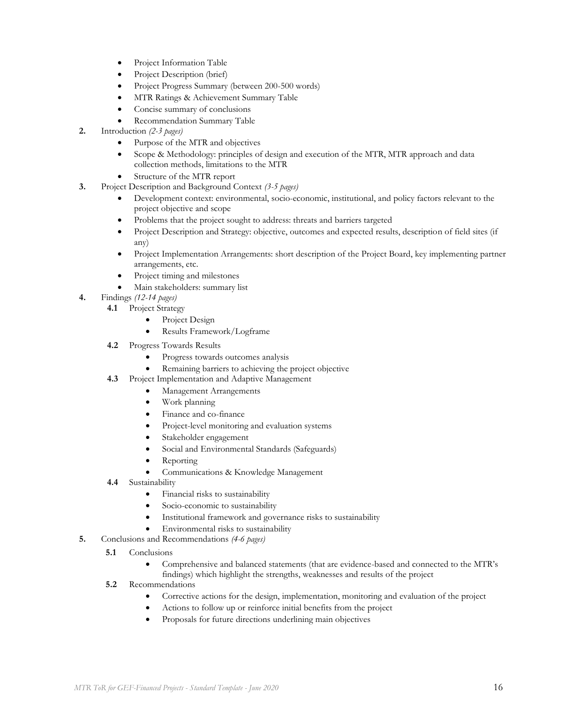- Project Information Table
- Project Description (brief)
- Project Progress Summary (between 200-500 words)
- MTR Ratings & Achievement Summary Table
- Concise summary of conclusions
- Recommendation Summary Table
- **2.** Introduction *(2-3 pages)*
	- Purpose of the MTR and objectives
	- Scope & Methodology: principles of design and execution of the MTR, MTR approach and data collection methods, limitations to the MTR
	- Structure of the MTR report
- **3.** Project Description and Background Context *(3-5 pages)*
	- Development context: environmental, socio-economic, institutional, and policy factors relevant to the project objective and scope
	- Problems that the project sought to address: threats and barriers targeted
	- Project Description and Strategy: objective, outcomes and expected results, description of field sites (if any)
	- Project Implementation Arrangements: short description of the Project Board, key implementing partner arrangements, etc.
	- Project timing and milestones
	- Main stakeholders: summary list
- **4.** Findings *(12-14 pages)*
	- **4.1** Project Strategy
		- Project Design
		- Results Framework/Logframe
	- **4.2** Progress Towards Results
		- Progress towards outcomes analysis
		- Remaining barriers to achieving the project objective
	- **4.3** Project Implementation and Adaptive Management
		- Management Arrangements
			- Work planning
			- Finance and co-finance
			- Project-level monitoring and evaluation systems
			- Stakeholder engagement
			- Social and Environmental Standards (Safeguards)
			- Reporting
			- Communications & Knowledge Management
	- **4.4** Sustainability
		- Financial risks to sustainability
		- Socio-economic to sustainability
		- Institutional framework and governance risks to sustainability
		- Environmental risks to sustainability
- **5.** Conclusions and Recommendations *(4-6 pages)*
	- **5.1**  Conclusions
		- Comprehensive and balanced statements (that are evidence-based and connected to the MTR's findings) which highlight the strengths, weaknesses and results of the project
	- **5.2** Recommendations
		- Corrective actions for the design, implementation, monitoring and evaluation of the project
		- Actions to follow up or reinforce initial benefits from the project
		- Proposals for future directions underlining main objectives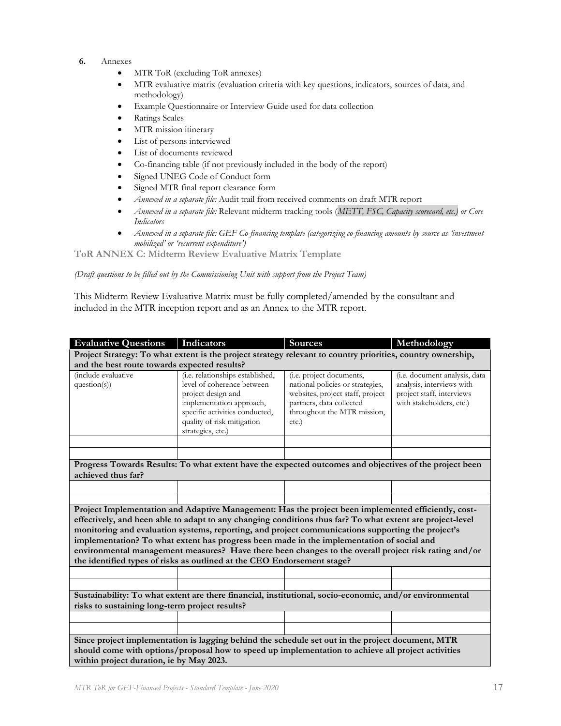- **6.** Annexes
	- MTR ToR (excluding ToR annexes)
	- MTR evaluative matrix (evaluation criteria with key questions, indicators, sources of data, and methodology)
	- Example Questionnaire or Interview Guide used for data collection
	- Ratings Scales
	- MTR mission itinerary
	- List of persons interviewed
	- List of documents reviewed
	- Co-financing table (if not previously included in the body of the report)
	- Signed UNEG Code of Conduct form
	- Signed MTR final report clearance form
	- *Annexed in a separate file:* Audit trail from received comments on draft MTR report
	- *Annexed in a separate file:* Relevant midterm tracking tools (*METT, FSC, Capacity scorecard, etc.) or Core Indicators*
	- *Annexed in a separate file: GEF Co-financing template (categorizing co-financing amounts by source as 'investment mobilized' or 'recurrent expenditure')*

**ToR ANNEX C: Midterm Review Evaluative Matrix Template**

*(Draft questions to be filled out by the Commissioning Unit with support from the Project Team)*

This Midterm Review Evaluative Matrix must be fully completed/amended by the consultant and included in the MTR inception report and as an Annex to the MTR report.

| <b>Evaluative Questions</b>                                                                                                                                                                                                                                                                                                                                                                                                                                                                                                                                                                           | Indicators                                                                                                                                                                                            | <b>Sources</b>                                                                                                                                                          | Methodology                                                                                                                 |  |  |
|-------------------------------------------------------------------------------------------------------------------------------------------------------------------------------------------------------------------------------------------------------------------------------------------------------------------------------------------------------------------------------------------------------------------------------------------------------------------------------------------------------------------------------------------------------------------------------------------------------|-------------------------------------------------------------------------------------------------------------------------------------------------------------------------------------------------------|-------------------------------------------------------------------------------------------------------------------------------------------------------------------------|-----------------------------------------------------------------------------------------------------------------------------|--|--|
| Project Strategy: To what extent is the project strategy relevant to country priorities, country ownership,                                                                                                                                                                                                                                                                                                                                                                                                                                                                                           |                                                                                                                                                                                                       |                                                                                                                                                                         |                                                                                                                             |  |  |
| and the best route towards expected results?                                                                                                                                                                                                                                                                                                                                                                                                                                                                                                                                                          |                                                                                                                                                                                                       |                                                                                                                                                                         |                                                                                                                             |  |  |
| (include evaluative<br>question(s)                                                                                                                                                                                                                                                                                                                                                                                                                                                                                                                                                                    | (i.e. relationships established,<br>level of coherence between<br>project design and<br>implementation approach,<br>specific activities conducted,<br>quality of risk mitigation<br>strategies, etc.) | (i.e. project documents,<br>national policies or strategies,<br>websites, project staff, project<br>partners, data collected<br>throughout the MTR mission,<br>$etc.$ ) | ( <i>i.e.</i> document analysis, data<br>analysis, interviews with<br>project staff, interviews<br>with stakeholders, etc.) |  |  |
|                                                                                                                                                                                                                                                                                                                                                                                                                                                                                                                                                                                                       |                                                                                                                                                                                                       |                                                                                                                                                                         |                                                                                                                             |  |  |
| achieved thus far?                                                                                                                                                                                                                                                                                                                                                                                                                                                                                                                                                                                    |                                                                                                                                                                                                       | Progress Towards Results: To what extent have the expected outcomes and objectives of the project been                                                                  |                                                                                                                             |  |  |
|                                                                                                                                                                                                                                                                                                                                                                                                                                                                                                                                                                                                       |                                                                                                                                                                                                       |                                                                                                                                                                         |                                                                                                                             |  |  |
|                                                                                                                                                                                                                                                                                                                                                                                                                                                                                                                                                                                                       |                                                                                                                                                                                                       |                                                                                                                                                                         |                                                                                                                             |  |  |
| Project Implementation and Adaptive Management: Has the project been implemented efficiently, cost-<br>effectively, and been able to adapt to any changing conditions thus far? To what extent are project-level<br>monitoring and evaluation systems, reporting, and project communications supporting the project's<br>implementation? To what extent has progress been made in the implementation of social and<br>environmental management measures? Have there been changes to the overall project risk rating and/or<br>the identified types of risks as outlined at the CEO Endorsement stage? |                                                                                                                                                                                                       |                                                                                                                                                                         |                                                                                                                             |  |  |
|                                                                                                                                                                                                                                                                                                                                                                                                                                                                                                                                                                                                       |                                                                                                                                                                                                       |                                                                                                                                                                         |                                                                                                                             |  |  |
|                                                                                                                                                                                                                                                                                                                                                                                                                                                                                                                                                                                                       |                                                                                                                                                                                                       |                                                                                                                                                                         |                                                                                                                             |  |  |
| Sustainability: To what extent are there financial, institutional, socio-economic, and/or environmental<br>risks to sustaining long-term project results?                                                                                                                                                                                                                                                                                                                                                                                                                                             |                                                                                                                                                                                                       |                                                                                                                                                                         |                                                                                                                             |  |  |
|                                                                                                                                                                                                                                                                                                                                                                                                                                                                                                                                                                                                       |                                                                                                                                                                                                       |                                                                                                                                                                         |                                                                                                                             |  |  |
|                                                                                                                                                                                                                                                                                                                                                                                                                                                                                                                                                                                                       |                                                                                                                                                                                                       |                                                                                                                                                                         |                                                                                                                             |  |  |
| Since project implementation is lagging behind the schedule set out in the project document, MTR<br>should come with options/proposal how to speed up implementation to achieve all project activities<br>within project duration, ie by May 2023.                                                                                                                                                                                                                                                                                                                                                    |                                                                                                                                                                                                       |                                                                                                                                                                         |                                                                                                                             |  |  |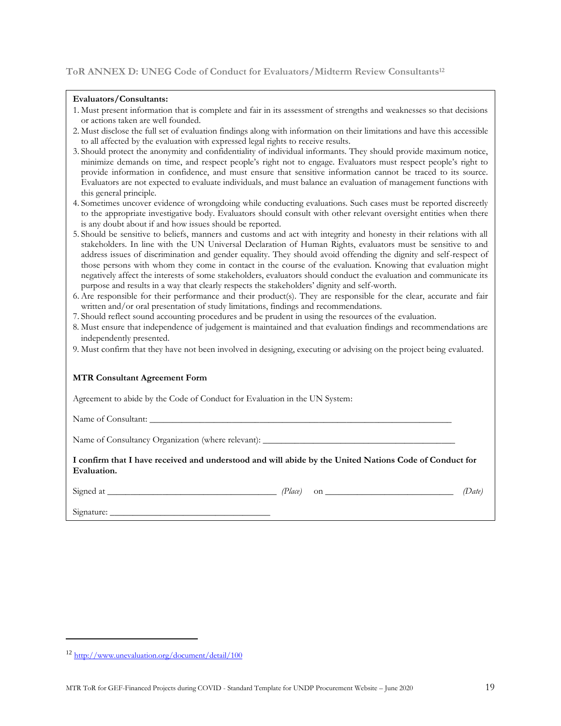### **ToR ANNEX D: UNEG Code of Conduct for Evaluators/Midterm Review Consultants<sup>12</sup>**

#### **Evaluators/Consultants:**

- 1. Must present information that is complete and fair in its assessment of strengths and weaknesses so that decisions or actions taken are well founded.
- 2. Must disclose the full set of evaluation findings along with information on their limitations and have this accessible to all affected by the evaluation with expressed legal rights to receive results.
- 3. Should protect the anonymity and confidentiality of individual informants. They should provide maximum notice, minimize demands on time, and respect people's right not to engage. Evaluators must respect people's right to provide information in confidence, and must ensure that sensitive information cannot be traced to its source. Evaluators are not expected to evaluate individuals, and must balance an evaluation of management functions with this general principle.
- 4. Sometimes uncover evidence of wrongdoing while conducting evaluations. Such cases must be reported discreetly to the appropriate investigative body. Evaluators should consult with other relevant oversight entities when there is any doubt about if and how issues should be reported.
- 5. Should be sensitive to beliefs, manners and customs and act with integrity and honesty in their relations with all stakeholders. In line with the UN Universal Declaration of Human Rights, evaluators must be sensitive to and address issues of discrimination and gender equality. They should avoid offending the dignity and self-respect of those persons with whom they come in contact in the course of the evaluation. Knowing that evaluation might negatively affect the interests of some stakeholders, evaluators should conduct the evaluation and communicate its purpose and results in a way that clearly respects the stakeholders' dignity and self-worth.
- 6. Are responsible for their performance and their product(s). They are responsible for the clear, accurate and fair written and/or oral presentation of study limitations, findings and recommendations.
- 7. Should reflect sound accounting procedures and be prudent in using the resources of the evaluation.
- 8. Must ensure that independence of judgement is maintained and that evaluation findings and recommendations are independently presented.
- 9. Must confirm that they have not been involved in designing, executing or advising on the project being evaluated.

#### **MTR Consultant Agreement Form**

Agreement to abide by the Code of Conduct for Evaluation in the UN System:

Name of Consultant:

Name of Consultancy Organization (where relevant):

**I confirm that I have received and understood and will abide by the United Nations Code of Conduct for Evaluation.** 

Signed at *Place*) on *Date*) *(Place)* **on** *<i>Date*)

Signature: \_

<sup>12</sup> <http://www.unevaluation.org/document/detail/100>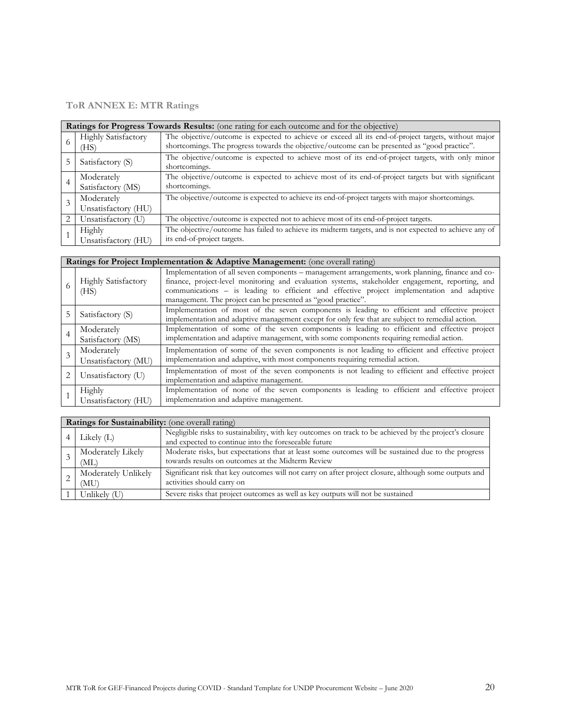## **ToR ANNEX E: MTR Ratings**

|   | Ratings for Progress Towards Results: (one rating for each outcome and for the objective) |                                                                                                                                                                                                       |  |  |  |
|---|-------------------------------------------------------------------------------------------|-------------------------------------------------------------------------------------------------------------------------------------------------------------------------------------------------------|--|--|--|
|   | Highly Satisfactory<br>(HS)                                                               | The objective/outcome is expected to achieve or exceed all its end-of-project targets, without major<br>shortcomings. The progress towards the objective/outcome can be presented as "good practice". |  |  |  |
|   | Satisfactory (S)                                                                          | The objective/outcome is expected to achieve most of its end-of-project targets, with only minor<br>shortcomings.                                                                                     |  |  |  |
| 4 | Moderately                                                                                | The objective/outcome is expected to achieve most of its end-of-project targets but with significant                                                                                                  |  |  |  |
|   | Satisfactory (MS)                                                                         | shortcomings.                                                                                                                                                                                         |  |  |  |
|   | Moderately                                                                                | The objective/outcome is expected to achieve its end-of-project targets with major shortcomings.                                                                                                      |  |  |  |
|   | Unsatisfactory (HU)                                                                       |                                                                                                                                                                                                       |  |  |  |
|   | Unsatisfactory (U)                                                                        | The objective/outcome is expected not to achieve most of its end-of-project targets.                                                                                                                  |  |  |  |
|   | Highly                                                                                    | The objective/outcome has failed to achieve its midterm targets, and is not expected to achieve any of                                                                                                |  |  |  |
|   | Unsatisfactory (HU)                                                                       | its end-of-project targets.                                                                                                                                                                           |  |  |  |

| Ratings for Project Implementation & Adaptive Management: (one overall rating) |                                                                                                                                                                                                                                                                                                                                                                    |  |  |  |
|--------------------------------------------------------------------------------|--------------------------------------------------------------------------------------------------------------------------------------------------------------------------------------------------------------------------------------------------------------------------------------------------------------------------------------------------------------------|--|--|--|
| <b>Highly Satisfactory</b><br>(HS)                                             | Implementation of all seven components – management arrangements, work planning, finance and co-<br>finance, project-level monitoring and evaluation systems, stakeholder engagement, reporting, and<br>communications - is leading to efficient and effective project implementation and adaptive<br>management. The project can be presented as "good practice". |  |  |  |
| Satisfactory (S)                                                               | Implementation of most of the seven components is leading to efficient and effective project<br>implementation and adaptive management except for only few that are subject to remedial action.                                                                                                                                                                    |  |  |  |
| Moderately<br>Satisfactory (MS)                                                | Implementation of some of the seven components is leading to efficient and effective project<br>implementation and adaptive management, with some components requiring remedial action.                                                                                                                                                                            |  |  |  |
| Moderately<br>Unsatisfactory (MU)                                              | Implementation of some of the seven components is not leading to efficient and effective project<br>implementation and adaptive, with most components requiring remedial action.                                                                                                                                                                                   |  |  |  |
| Unsatisfactory (U)                                                             | Implementation of most of the seven components is not leading to efficient and effective project<br>implementation and adaptive management.                                                                                                                                                                                                                        |  |  |  |
| Highly<br>Unsatisfactory (HU)                                                  | Implementation of none of the seven components is leading to efficient and effective project<br>implementation and adaptive management.                                                                                                                                                                                                                            |  |  |  |

| Ratings for Sustainability: (one overall rating) |                                                                                                                                                                                |                                                                                                                                                         |  |  |  |  |
|--------------------------------------------------|--------------------------------------------------------------------------------------------------------------------------------------------------------------------------------|---------------------------------------------------------------------------------------------------------------------------------------------------------|--|--|--|--|
|                                                  | Negligible risks to sustainability, with key outcomes on track to be achieved by the project's closure<br>Likely $(L)$<br>and expected to continue into the foreseeable future |                                                                                                                                                         |  |  |  |  |
|                                                  | Moderately Likely<br>(ML)                                                                                                                                                      | Moderate risks, but expectations that at least some outcomes will be sustained due to the progress<br>towards results on outcomes at the Midterm Review |  |  |  |  |
|                                                  | Moderately Unlikely<br>(MU)                                                                                                                                                    | Significant risk that key outcomes will not carry on after project closure, although some outputs and<br>activities should carry on                     |  |  |  |  |
|                                                  | Unlikely (U)                                                                                                                                                                   | Severe risks that project outcomes as well as key outputs will not be sustained                                                                         |  |  |  |  |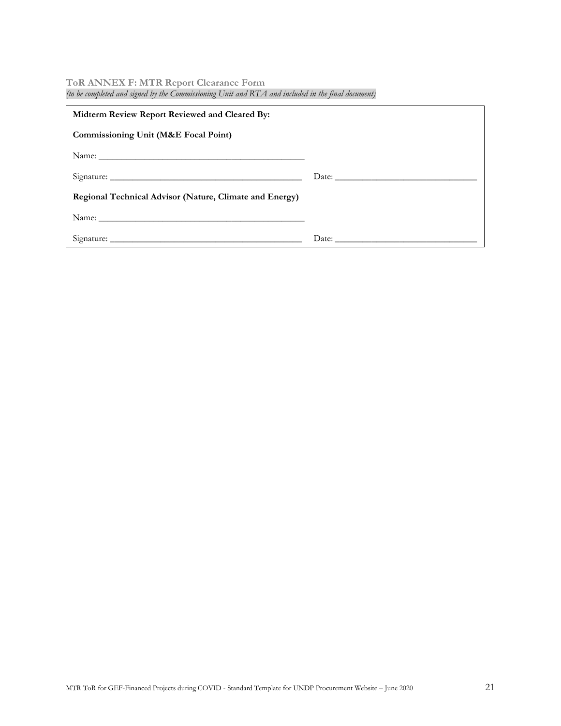### **ToR ANNEX F: MTR Report Clearance Form**

| fio oc compieteu una signea of the Commissioning Onti una IXI2I una incinaca in the final abcument) |  |  |  |  |  |
|-----------------------------------------------------------------------------------------------------|--|--|--|--|--|
| Midterm Review Report Reviewed and Cleared By:                                                      |  |  |  |  |  |
| <b>Commissioning Unit (M&amp;E Focal Point)</b>                                                     |  |  |  |  |  |
| Name:                                                                                               |  |  |  |  |  |
|                                                                                                     |  |  |  |  |  |
| <b>Regional Technical Advisor (Nature, Climate and Energy)</b>                                      |  |  |  |  |  |
|                                                                                                     |  |  |  |  |  |
|                                                                                                     |  |  |  |  |  |

*(to be completed and signed by the Commissioning Unit and RTA and included in the final document)*